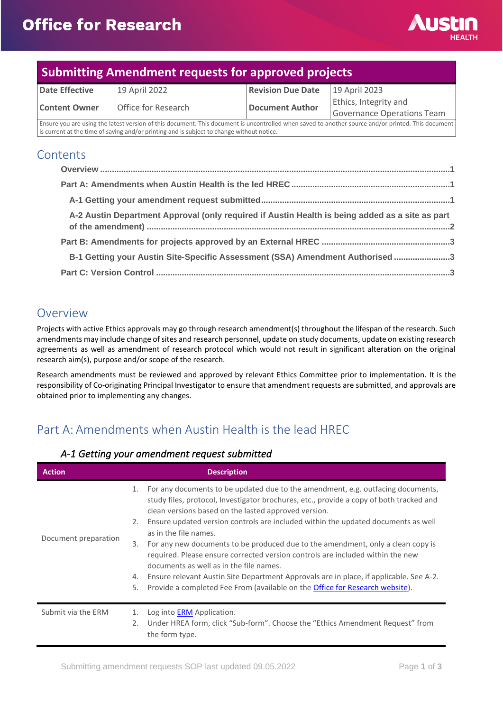

# **Submitting Amendment requests for approved projects**

| Date Effective                                                                                                                                     | 19 April 2022       | <b>Revision Due Date</b> | 19 April 2023              |
|----------------------------------------------------------------------------------------------------------------------------------------------------|---------------------|--------------------------|----------------------------|
| <b>Content Owner</b>                                                                                                                               | Office for Research | Document Author          | Ethics, Integrity and      |
|                                                                                                                                                    |                     |                          | Governance Operations Team |
| Ensure you are using the latest version of this document: This document is uncontrolled when saved to another source and/or printed. This document |                     |                          |                            |

is current at the time of saving and/or printing and is subject to change without notice.

### **Contents**

| A-2 Austin Department Approval (only required if Austin Health is being added as a site as part |  |
|-------------------------------------------------------------------------------------------------|--|
|                                                                                                 |  |
| B-1 Getting your Austin Site-Specific Assessment (SSA) Amendment Authorised 3                   |  |
|                                                                                                 |  |

## <span id="page-0-0"></span>Overview

Projects with active Ethics approvals may go through research amendment(s) throughout the lifespan of the research. Such amendments may include change of sites and research personnel, update on study documents, update on existing research agreements as well as amendment of research protocol which would not result in significant alteration on the original research aim(s), purpose and/or scope of the research.

Research amendments must be reviewed and approved by relevant Ethics Committee prior to implementation. It is the responsibility of Co-originating Principal Investigator to ensure that amendment requests are submitted, and approvals are obtained prior to implementing any changes.

# <span id="page-0-1"></span>Part A: Amendments when Austin Health is the lead HREC

### **Action Description** Document preparation 1. For any documents to be updated due to the amendment, e.g. outfacing documents, study files, protocol, Investigator brochures, etc., provide a copy of both tracked and clean versions based on the lasted approved version. 2. Ensure updated version controls are included within the updated documents as well as in the file names. 3. For any new documents to be produced due to the amendment, only a clean copy is required. Please ensure corrected version controls are included within the new documents as well as in the file names. 4. Ensure relevant Austin Site Department Approvals are in place, if applicable. See A-2. 5. Provide a completed Fee From (available on the [Office for Research website\)](https://www.austin.org.au/resources-for-researchers/). Submit via the ERM 1. Log int[o ERM](https://au.forms.ethicalreviewmanager.com/Account/Login) Application. 2. Under HREA form, click "Sub-form". Choose the "Ethics Amendment Request" from the form type.

#### <span id="page-0-2"></span>*A-1 Getting your amendment request submitted*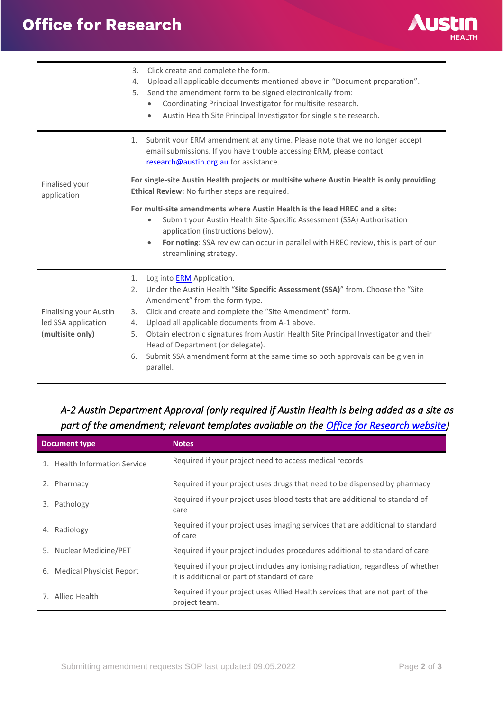

|                                                                                                                                                                              | 3.<br>Click create and complete the form.<br>Upload all applicable documents mentioned above in "Document preparation".<br>4.<br>Send the amendment form to be signed electronically from:<br>5.<br>Coordinating Principal Investigator for multisite research.<br>Austin Health Site Principal Investigator for single site research.<br>$\bullet$ |
|------------------------------------------------------------------------------------------------------------------------------------------------------------------------------|-----------------------------------------------------------------------------------------------------------------------------------------------------------------------------------------------------------------------------------------------------------------------------------------------------------------------------------------------------|
|                                                                                                                                                                              | Submit your ERM amendment at any time. Please note that we no longer accept<br>1.<br>email submissions. If you have trouble accessing ERM, please contact<br>research@austin.org.au for assistance.                                                                                                                                                 |
| For single-site Austin Health projects or multisite where Austin Health is only providing<br>Finalised your<br>Ethical Review: No further steps are required.<br>application |                                                                                                                                                                                                                                                                                                                                                     |
|                                                                                                                                                                              | For multi-site amendments where Austin Health is the lead HREC and a site:<br>Submit your Austin Health Site-Specific Assessment (SSA) Authorisation<br>$\bullet$<br>application (instructions below).<br>For noting: SSA review can occur in parallel with HREC review, this is part of our<br>$\bullet$<br>streamlining strategy.                 |
|                                                                                                                                                                              | 1.<br>Log into <b>ERM</b> Application.                                                                                                                                                                                                                                                                                                              |
|                                                                                                                                                                              | Under the Austin Health "Site Specific Assessment (SSA)" from. Choose the "Site<br>2.<br>Amendment" from the form type.                                                                                                                                                                                                                             |
| <b>Finalising your Austin</b>                                                                                                                                                | Click and create and complete the "Site Amendment" form.<br>3.                                                                                                                                                                                                                                                                                      |
| led SSA application                                                                                                                                                          | Upload all applicable documents from A-1 above.<br>4.                                                                                                                                                                                                                                                                                               |
| (multisite only)                                                                                                                                                             | Obtain electronic signatures from Austin Health Site Principal Investigator and their<br>5.<br>Head of Department (or delegate).                                                                                                                                                                                                                    |
|                                                                                                                                                                              | Submit SSA amendment form at the same time so both approvals can be given in<br>6.<br>parallel.                                                                                                                                                                                                                                                     |

## <span id="page-1-0"></span>*A-2 Austin Department Approval (only required if Austin Health is being added as a site as part of the amendment; relevant templates available on the [Office for Research website\)](https://www.austin.org.au/resources-for-researchers/)*

|    | Document type                 | <b>Notes</b>                                                                                                                    |
|----|-------------------------------|---------------------------------------------------------------------------------------------------------------------------------|
|    | 1. Health Information Service | Required if your project need to access medical records                                                                         |
| 2. | Pharmacy                      | Required if your project uses drugs that need to be dispensed by pharmacy                                                       |
| 3. | Pathology                     | Required if your project uses blood tests that are additional to standard of<br>care                                            |
| 4. | Radiology                     | Required if your project uses imaging services that are additional to standard<br>of care                                       |
|    | 5. Nuclear Medicine/PET       | Required if your project includes procedures additional to standard of care                                                     |
|    | 6. Medical Physicist Report   | Required if your project includes any ionising radiation, regardless of whether<br>it is additional or part of standard of care |
|    | 7. Allied Health              | Required if your project uses Allied Health services that are not part of the<br>project team.                                  |